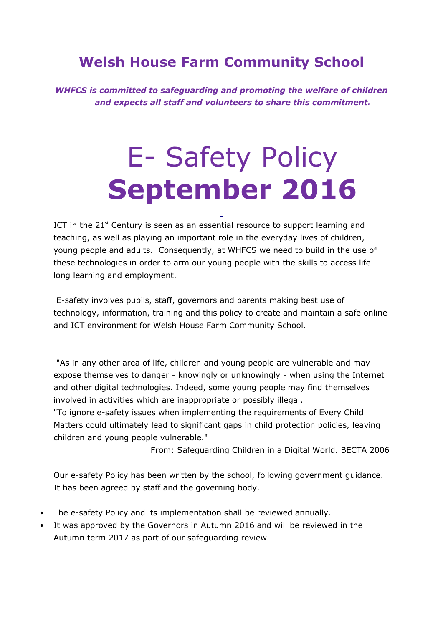# **Welsh House Farm Community School**

*WHFCS is committed to safeguarding and promoting the welfare of children and expects all staff and volunteers to share this commitment.*

# E- Safety Policy **September 2016**

ICT in the  $21<sup>st</sup>$  Century is seen as an essential resource to support learning and teaching, as well as playing an important role in the everyday lives of children, young people and adults. Consequently, at WHFCS we need to build in the use of these technologies in order to arm our young people with the skills to access lifelong learning and employment.

E-safety involves pupils, staff, governors and parents making best use of technology, information, training and this policy to create and maintain a safe online and ICT environment for Welsh House Farm Community School.

"As in any other area of life, children and young people are vulnerable and may expose themselves to danger - knowingly or unknowingly - when using the Internet and other digital technologies. Indeed, some young people may find themselves involved in activities which are inappropriate or possibly illegal.

"To ignore e-safety issues when implementing the requirements of Every Child Matters could ultimately lead to significant gaps in child protection policies, leaving children and young people vulnerable."

From: Safeguarding Children in a Digital World. BECTA 2006

Our e-safety Policy has been written by the school, following government guidance. It has been agreed by staff and the governing body.

- The e-safety Policy and its implementation shall be reviewed annually.
- It was approved by the Governors in Autumn 2016 and will be reviewed in the Autumn term 2017 as part of our safeguarding review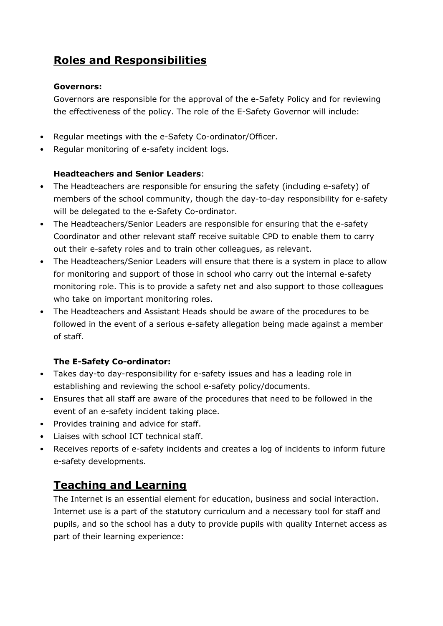## **Roles and Responsibilities**

#### **Governors:**

Governors are responsible for the approval of the e-Safety Policy and for reviewing the effectiveness of the policy. The role of the E-Safety Governor will include:

- Regular meetings with the e-Safety Co-ordinator/Officer.
- Regular monitoring of e-safety incident logs.

#### **Headteachers and Senior Leaders**:

- The Headteachers are responsible for ensuring the safety (including e-safety) of members of the school community, though the day-to-day responsibility for e-safety will be delegated to the e-Safety Co-ordinator.
- The Headteachers/Senior Leaders are responsible for ensuring that the e-safety Coordinator and other relevant staff receive suitable CPD to enable them to carry out their e-safety roles and to train other colleagues, as relevant.
- The Headteachers/Senior Leaders will ensure that there is a system in place to allow for monitoring and support of those in school who carry out the internal e-safety monitoring role. This is to provide a safety net and also support to those colleagues who take on important monitoring roles.
- The Headteachers and Assistant Heads should be aware of the procedures to be followed in the event of a serious e-safety allegation being made against a member of staff.

#### **The E-Safety Co-ordinator:**

- Takes day-to day-responsibility for e-safety issues and has a leading role in establishing and reviewing the school e-safety policy/documents.
- Ensures that all staff are aware of the procedures that need to be followed in the event of an e-safety incident taking place.
- Provides training and advice for staff.
- Liaises with school ICT technical staff.
- Receives reports of e-safety incidents and creates a log of incidents to inform future e-safety developments.

## **Teaching and Learning**

The Internet is an essential element for education, business and social interaction. Internet use is a part of the statutory curriculum and a necessary tool for staff and pupils, and so the school has a duty to provide pupils with quality Internet access as part of their learning experience: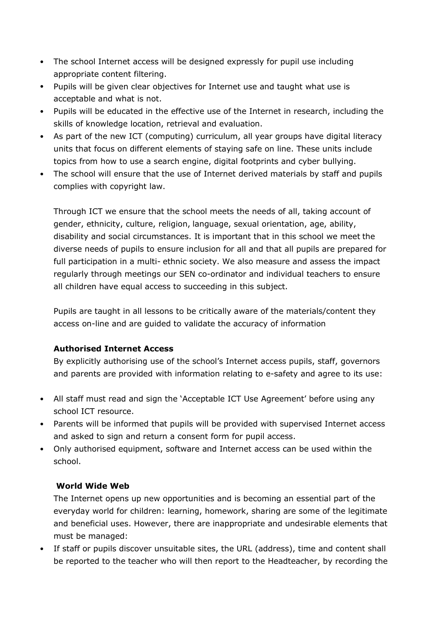- The school Internet access will be designed expressly for pupil use including appropriate content filtering.
- Pupils will be given clear objectives for Internet use and taught what use is acceptable and what is not.
- Pupils will be educated in the effective use of the Internet in research, including the skills of knowledge location, retrieval and evaluation.
- As part of the new ICT (computing) curriculum, all year groups have digital literacy units that focus on different elements of staying safe on line. These units include topics from how to use a search engine, digital footprints and cyber bullying.
- The school will ensure that the use of Internet derived materials by staff and pupils complies with copyright law.

Through ICT we ensure that the school meets the needs of all, taking account of gender, ethnicity, culture, religion, language, sexual orientation, age, ability, disability and social circumstances. It is important that in this school we meet the diverse needs of pupils to ensure inclusion for all and that all pupils are prepared for full participation in a multi- ethnic society. We also measure and assess the impact regularly through meetings our SEN co-ordinator and individual teachers to ensure all children have equal access to succeeding in this subject.

Pupils are taught in all lessons to be critically aware of the materials/content they access on-line and are guided to validate the accuracy of information

#### **Authorised Internet Access**

By explicitly authorising use of the school's Internet access pupils, staff, governors and parents are provided with information relating to e-safety and agree to its use:

- All staff must read and sign the 'Acceptable ICT Use Agreement' before using any school ICT resource.
- Parents will be informed that pupils will be provided with supervised Internet access and asked to sign and return a consent form for pupil access.
- Only authorised equipment, software and Internet access can be used within the school.

#### **World Wide Web**

The Internet opens up new opportunities and is becoming an essential part of the everyday world for children: learning, homework, sharing are some of the legitimate and beneficial uses. However, there are inappropriate and undesirable elements that must be managed:

• If staff or pupils discover unsuitable sites, the URL (address), time and content shall be reported to the teacher who will then report to the Headteacher, by recording the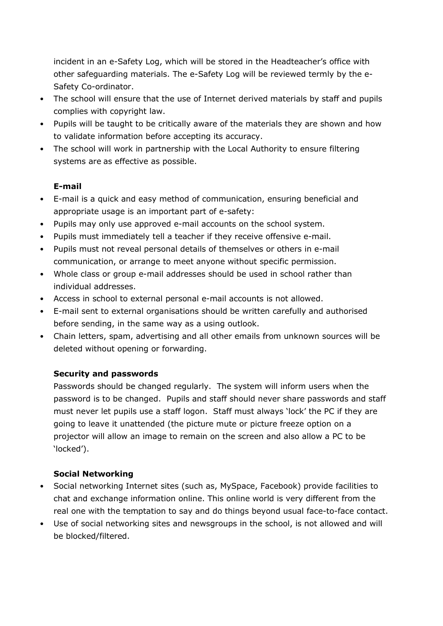incident in an e-Safety Log, which will be stored in the Headteacher's office with other safeguarding materials. The e-Safety Log will be reviewed termly by the e-Safety Co-ordinator.

- The school will ensure that the use of Internet derived materials by staff and pupils complies with copyright law.
- Pupils will be taught to be critically aware of the materials they are shown and how to validate information before accepting its accuracy.
- The school will work in partnership with the Local Authority to ensure filtering systems are as effective as possible.

#### **E-mail**

- E-mail is a quick and easy method of communication, ensuring beneficial and appropriate usage is an important part of e-safety:
- Pupils may only use approved e-mail accounts on the school system.
- Pupils must immediately tell a teacher if they receive offensive e-mail.
- Pupils must not reveal personal details of themselves or others in e-mail communication, or arrange to meet anyone without specific permission.
- Whole class or group e-mail addresses should be used in school rather than individual addresses.
- Access in school to external personal e-mail accounts is not allowed.
- E-mail sent to external organisations should be written carefully and authorised before sending, in the same way as a using outlook.
- Chain letters, spam, advertising and all other emails from unknown sources will be deleted without opening or forwarding.

#### **Security and passwords**

Passwords should be changed regularly. The system will inform users when the password is to be changed. Pupils and staff should never share passwords and staff must never let pupils use a staff logon. Staff must always 'lock' the PC if they are going to leave it unattended (the picture mute or picture freeze option on a projector will allow an image to remain on the screen and also allow a PC to be 'locked').

#### **Social Networking**

- Social networking Internet sites (such as, MySpace, Facebook) provide facilities to chat and exchange information online. This online world is very different from the real one with the temptation to say and do things beyond usual face-to-face contact.
- Use of social networking sites and newsgroups in the school, is not allowed and will be blocked/filtered.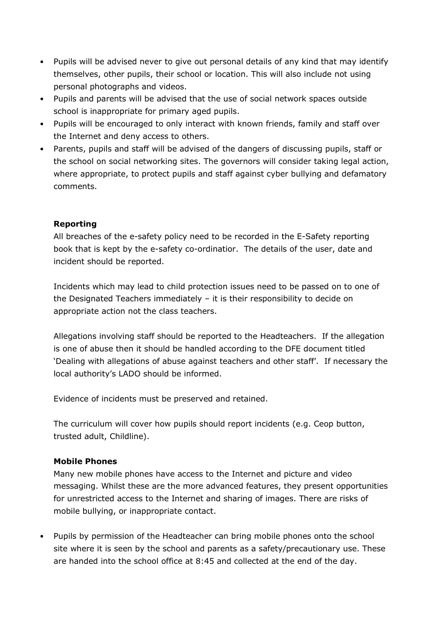- Pupils will be advised never to give out personal details of any kind that may identify themselves, other pupils, their school or location. This will also include not using personal photographs and videos.
- Pupils and parents will be advised that the use of social network spaces outside school is inappropriate for primary aged pupils.
- Pupils will be encouraged to only interact with known friends, family and staff over the Internet and deny access to others.
- Parents, pupils and staff will be advised of the dangers of discussing pupils, staff or the school on social networking sites. The governors will consider taking legal action, where appropriate, to protect pupils and staff against cyber bullying and defamatory comments.

#### **Reporting**

All breaches of the e-safety policy need to be recorded in the E-Safety reporting book that is kept by the e-safety co-ordinatior. The details of the user, date and incident should be reported.

Incidents which may lead to child protection issues need to be passed on to one of the Designated Teachers immediately – it is their responsibility to decide on appropriate action not the class teachers.

Allegations involving staff should be reported to the Headteachers. If the allegation is one of abuse then it should be handled according to the DFE document titled 'Dealing with allegations of abuse against teachers and other staff'. If necessary the local authority's LADO should be informed.

Evidence of incidents must be preserved and retained.

The curriculum will cover how pupils should report incidents (e.g. Ceop button, trusted adult, Childline).

#### **Mobile Phones**

Many new mobile phones have access to the Internet and picture and video messaging. Whilst these are the more advanced features, they present opportunities for unrestricted access to the Internet and sharing of images. There are risks of mobile bullying, or inappropriate contact.

• Pupils by permission of the Headteacher can bring mobile phones onto the school site where it is seen by the school and parents as a safety/precautionary use. These are handed into the school office at 8:45 and collected at the end of the day.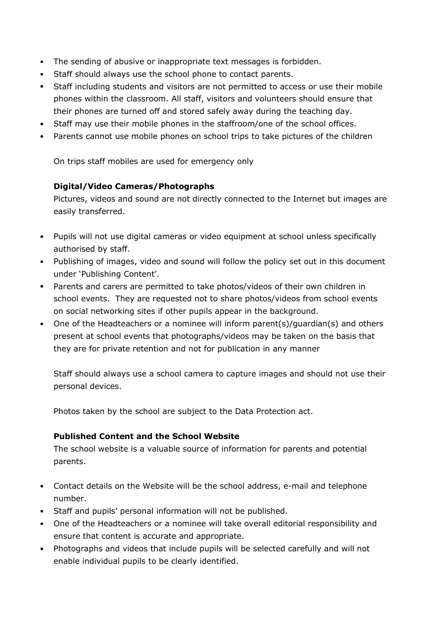- The sending of abusive or inappropriate text messages is forbidden.
- Staff should always use the school phone to contact parents.
- Staff including students and visitors are not permitted to access or use their mobile phones within the classroom. All staff, visitors and volunteers should ensure that their phones are turned off and stored safely away during the teaching day.
- Staff may use their mobile phones in the staffroom/one of the school offices.
- Parents cannot use mobile phones on school trips to take pictures of the children

On trips staff mobiles are used for emergency only

#### **Digital/Video Cameras/Photographs**

Pictures, videos and sound are not directly connected to the Internet but images are easily transferred.

- Pupils will not use digital cameras or video equipment at school unless specifically authorised by staff.
- Publishing of images, video and sound will follow the policy set out in this document under 'Publishing Content'.
- Parents and carers are permitted to take photos/videos of their own children in school events. They are requested not to share photos/videos from school events on social networking sites if other pupils appear in the background.
- One of the Headteachers or a nominee will inform parent(s)/guardian(s) and others present at school events that photographs/videos may be taken on the basis that they are for private retention and not for publication in any manner

Staff should always use a school camera to capture images and should not use their personal devices.

Photos taken by the school are subject to the Data Protection act.

#### **Published Content and the School Website**

The school website is a valuable source of information for parents and potential parents.

- Contact details on the Website will be the school address, e-mail and telephone number.
- Staff and pupils' personal information will not be published.
- One of the Headteachers or a nominee will take overall editorial responsibility and ensure that content is accurate and appropriate.
- Photographs and videos that include pupils will be selected carefully and will not enable individual pupils to be clearly identified.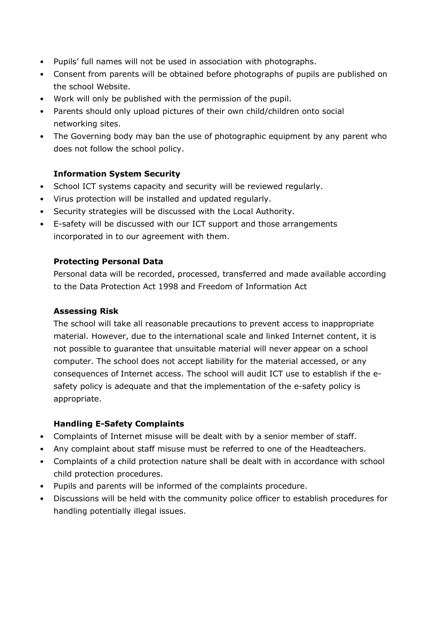- Pupils' full names will not be used in association with photographs.
- Consent from parents will be obtained before photographs of pupils are published on the school Website.
- Work will only be published with the permission of the pupil.
- Parents should only upload pictures of their own child/children onto social networking sites.
- The Governing body may ban the use of photographic equipment by any parent who does not follow the school policy.

#### **Information System Security**

- School ICT systems capacity and security will be reviewed regularly.
- Virus protection will be installed and updated regularly.
- Security strategies will be discussed with the Local Authority.
- E-safety will be discussed with our ICT support and those arrangements incorporated in to our agreement with them.

#### **Protecting Personal Data**

Personal data will be recorded, processed, transferred and made available according to the Data Protection Act 1998 and Freedom of Information Act

#### **Assessing Risk**

The school will take all reasonable precautions to prevent access to inappropriate material. However, due to the international scale and linked Internet content, it is not possible to guarantee that unsuitable material will never appear on a school computer. The school does not accept liability for the material accessed, or any consequences of Internet access. The school will audit ICT use to establish if the esafety policy is adequate and that the implementation of the e-safety policy is appropriate.

#### **Handling E-Safety Complaints**

- Complaints of Internet misuse will be dealt with by a senior member of staff.
- Any complaint about staff misuse must be referred to one of the Headteachers.
- Complaints of a child protection nature shall be dealt with in accordance with school child protection procedures.
- Pupils and parents will be informed of the complaints procedure.
- Discussions will be held with the community police officer to establish procedures for handling potentially illegal issues.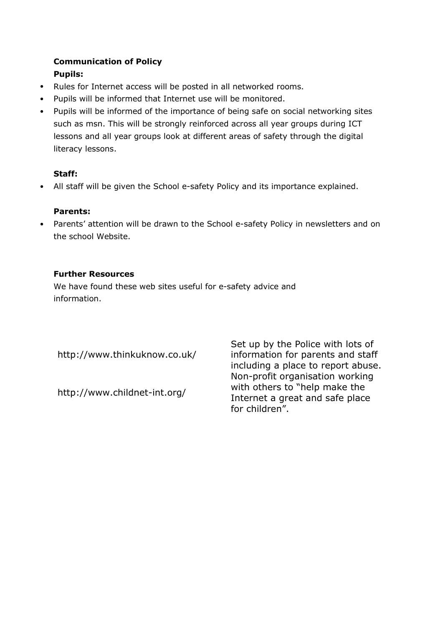## **Communication of Policy**

#### **Pupils:**

- Rules for Internet access will be posted in all networked rooms.
- Pupils will be informed that Internet use will be monitored.
- Pupils will be informed of the importance of being safe on social networking sites such as msn. This will be strongly reinforced across all year groups during ICT lessons and all year groups look at different areas of safety through the digital literacy lessons.

#### **Staff:**

• All staff will be given the School e-safety Policy and its importance explained.

#### **Parents:**

• Parents' attention will be drawn to the School e-safety Policy in newsletters and on the school Website.

#### **Further Resources**

We have found these web sites useful for e-safety advice and information.

http://www.thinkuknow.co.uk/

http://www.childnet-int.org/

Set up by the Police with lots of information for parents and staff including a place to report abuse. Non-profit organisation working with others to "help make the Internet a great and safe place for children".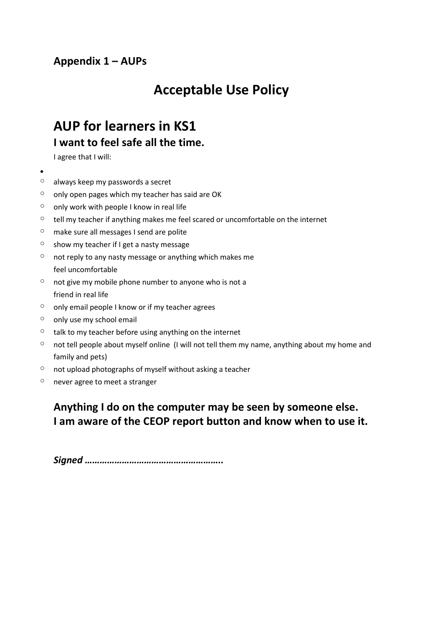# **Acceptable Use Policy**

## **AUP for learners in KS1 I want to feel safe all the time.**

I agree that I will:

- •
- $\circ$  always keep my passwords a secret
- $\circ$  only open pages which my teacher has said are OK
- $\circ$  only work with people I know in real life
- $\circ$  tell my teacher if anything makes me feel scared or uncomfortable on the internet
- o make sure all messages I send are polite
- $\circ$  show my teacher if I get a nasty message
- $\circ$  not reply to any nasty message or anything which makes me feel uncomfortable
- $\circ$  not give my mobile phone number to anyone who is not a friend in real life
- $\circ$  only email people I know or if my teacher agrees
- $\circ$  only use my school email
- $\circ$  talk to my teacher before using anything on the internet
- $\degree$  not tell people about myself online (I will not tell them my name, anything about my home and family and pets)
- $\circ$  not upload photographs of myself without asking a teacher
- o never agree to meet a stranger

## **Anything I do on the computer may be seen by someone else. I am aware of the CEOP report button and know when to use it.**

*Signed ………………………………………………..*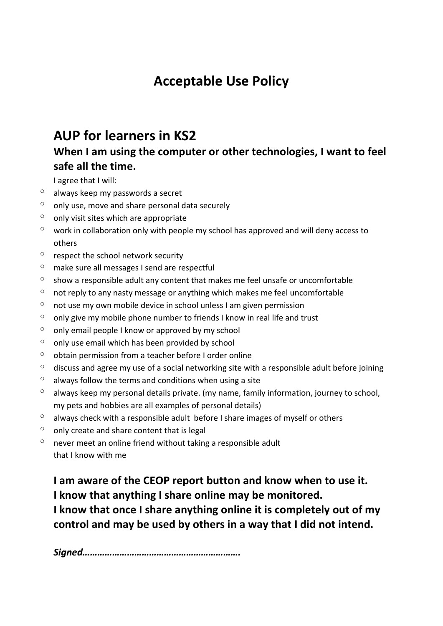# **Acceptable Use Policy**

## **AUP for learners in KS2**

## **When I am using the computer or other technologies, I want to feel safe all the time.**

I agree that I will:

- $\circ$  always keep my passwords a secret
- $\degree$  only use, move and share personal data securely
- only visit sites which are appropriate
- work in collaboration only with people my school has approved and will deny access to others
- $\circ$  respect the school network security
- $\degree$  make sure all messages I send are respectful
- $\degree$  show a responsible adult any content that makes me feel unsafe or uncomfortable
- $\degree$  not reply to any nasty message or anything which makes me feel uncomfortable
- $\degree$  not use my own mobile device in school unless I am given permission
- $\degree$  only give my mobile phone number to friends I know in real life and trust
- $\degree$  only email people I know or approved by my school
- $\circ$  only use email which has been provided by school
- $\circ$  obtain permission from a teacher before I order online
- $\degree$  discuss and agree my use of a social networking site with a responsible adult before joining
- $\degree$  always follow the terms and conditions when using a site
- $\degree$  always keep my personal details private. (my name, family information, journey to school, my pets and hobbies are all examples of personal details)
- $\degree$  always check with a responsible adult before I share images of myself or others
- $\circ$  only create and share content that is legal
- $\degree$  never meet an online friend without taking a responsible adult that I know with me

**I am aware of the CEOP report button and know when to use it. I know that anything I share online may be monitored.**

**I know that once I share anything online it is completely out of my control and may be used by others in a way that I did not intend.**

*Signed……………………………………………………….*